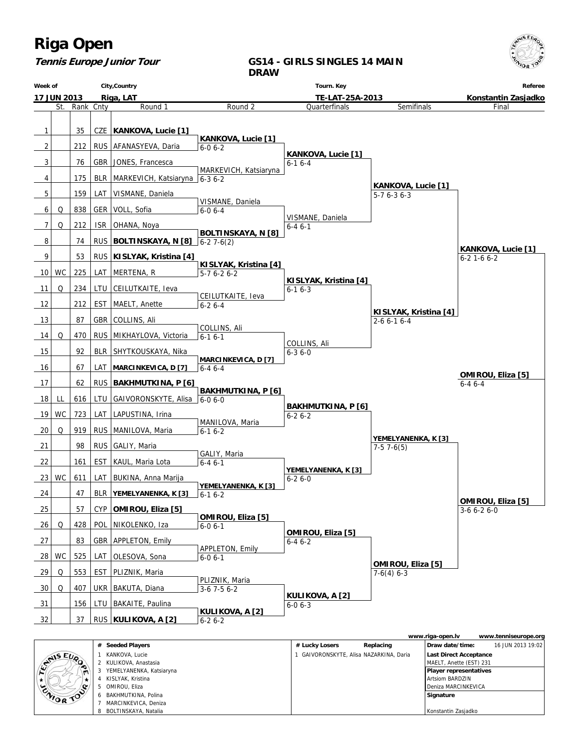

#### **Tennis Europe Junior Tour**

#### **GS14 - GIRLS SINGLES 14 MAIN DRAW**



|           |                          |                |                                       | www.riga-open.lv              | www.tenniseurope.org |
|-----------|--------------------------|----------------|---------------------------------------|-------------------------------|----------------------|
|           | # Seeded Players         | # Lucky Losers | Replacing                             | Draw date/time:               | 16 JUN 2013 19:02    |
| CANIS EUP | KANKOVA, Lucie           |                | GAIVORONSKYTE, Alisa NAZARKINA, Daria | <b>Last Direct Acceptance</b> |                      |
|           | 2 KULIKOVA, Anastasia    |                |                                       | MAELT, Anette (EST) 231       |                      |
|           | YEMELYANENKA, Katsiaryna |                |                                       | <b>Player representatives</b> |                      |
|           | KISLYAK, Kristina        |                |                                       | Artsiom BARDZIN               |                      |
|           | OMIROU, Eliza            |                |                                       | Deniza MARCINKEVICA           |                      |
| CAIOR TOO | BAKHMUTKINA, Polina      |                |                                       | Signature                     |                      |
|           | MARCINKEVICA, Deniza     |                |                                       |                               |                      |
|           | BOLTINSKAYA, Natalia     |                |                                       | Konstantin Zasjadko           |                      |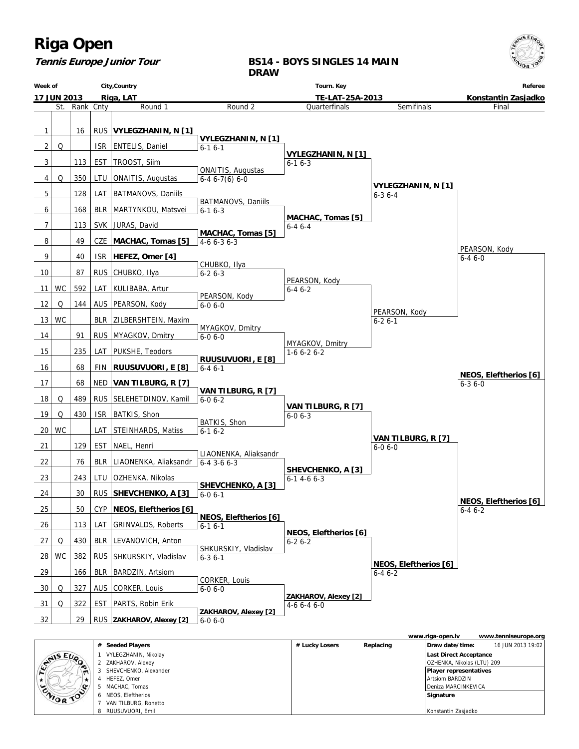

#### **Tennis Europe Junior Tour**

#### **BS14 - BOYS SINGLES 14 MAIN DRAW**



|  |             |                       |                |           | www.riga-open.lv              | www.tenniseurope.org |
|--|-------------|-----------------------|----------------|-----------|-------------------------------|----------------------|
|  |             | # Seeded Players      | # Lucky Losers | Replacing | Draw date/time:               | 16 JUN 2013 19:02    |
|  | CYNIS EUR   | VYLEGZHANIN, Nikolay  |                |           | <b>Last Direct Acceptance</b> |                      |
|  |             | 2 ZAKHAROV, Alexey    |                |           | OZHENKA, Nikolas (LTU) 209    |                      |
|  | $\sim$<br>m | SHEVCHENKO, Alexander |                |           | <b>Player representatives</b> |                      |
|  |             | HEFEZ, Omer           |                |           | Artsiom BARDZIN               |                      |
|  | ENIOR TOP   | MACHAC, Tomas         |                |           | Deniza MARCINKEVICA           |                      |
|  |             | 6 NEOS, Eleftherios   |                |           | Signature                     |                      |
|  |             | VAN TILBURG, Ronetto  |                |           |                               |                      |
|  |             | 8 RUUSUVUORI, Emil    |                |           | Konstantin Zasjadko           |                      |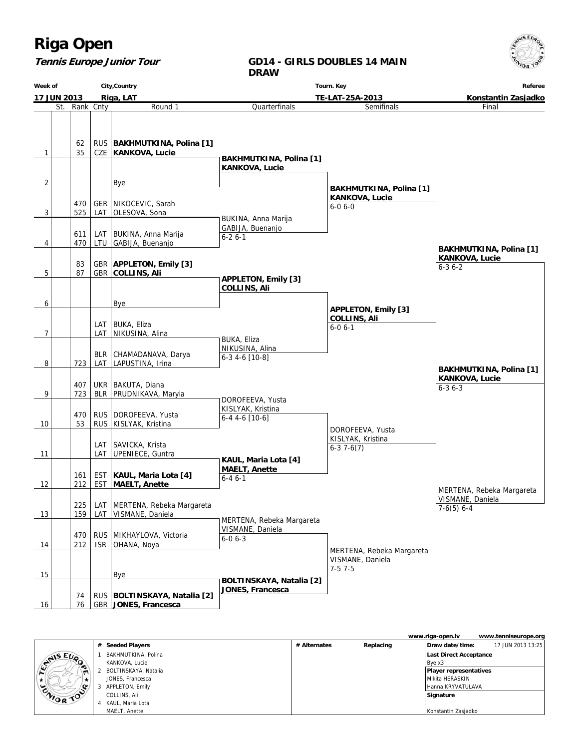#### **Tennis Europe Junior Tour**

#### **GD14 - GIRLS DOUBLES 14 MAIN DRAW**

**Week of 17 JUN 2013 City,Country Riga, LAT Tourn. Key TE-LAT-25A-2013 Referee Konstantin Zasjadko** St. Rank Cnty **Round 1**  $1 \mid 35$ 62 CZE RUS **BAKHMUTKINA, Polina [1] KANKOVA, Lucie**  $2$  | | | | Bye  $3$  525 470 LAT GER NIKOCEVIC, Sarah OLESOVA, Sona  $4$   $470$ 611 LTU LAT | BUKINA, Anna Marija GABIJA, Buenanjo  $5$  | 87 83 GBR GBR **APPLETON, Emily [3] COLLINS, Ali** 6 | | | | | | Bye  $7$   $\vert$   $\vert$  LAT LAT BUKA, Eliza NIKUSINA, Alina 8 723 LAT BLR CHAMADANAVA, Darya LAPUSTINA, Irina 9 723 407 BLR UKR BAKUTA, Diana PRUDNIKAVA, Maryia 10 53 470 RUS RUS DOROFEEVA, Yusta KISLYAK, Kristina 11 | LAT LAT SAVICKA, Krista UPENIECE, Guntra  $12$  | 212 161 EST EST **KAUL, Maria Lota [4] MAELT, Anette** 13 | 159 225 LAT LAT | MERTENA, Rebeka Margareta VISMANE, Daniela 14 212 470 ISR RUS MIKHAYLOVA, Victoria OHANA, Noya 15 | Bye 16 76 74 GBR  **JONES, Francesca** RUS **BOLTINSKAYA, Natalia [2] Quarterfinals BAKHMUTKINA, Polina [1] KANKOVA, Lucie** BUKINA, Anna Marija GABIJA, Buenanjo 6-2 6-1  **APPLETON, Emily [3] COLLINS, Ali** BUKA, Eliza NIKUSINA, Alina 6-3 4-6 [10-8] DOROFEEVA, Yusta KISLYAK, Kristina 6-4 4-6 [10-6]  **KAUL, Maria Lota [4] MAELT, Anette** 6-4 6-1 MERTENA, Rebeka Margareta VISMANE, Daniela 6-0 6-3  **BOLTINSKAYA, Natalia [2] JONES, Francesca** Semifinals  **BAKHMUTKINA, Polina [1] KANKOVA, Lucie** 6-0 6-0  **APPLETON, Emily [3] COLLINS, Ali** 6-0 6-1 DOROFEEVA, Yusta KISLYAK, Kristina 6-3 7-6(7) MERTENA, Rebeka Margareta VISMANE, Daniela 7-5 7-5 Final  **BAKHMUTKINA, Polina [1] KANKOVA, Lucie** 6-3 6-2 MERTENA, Rebeka Margareta VISMANE, Daniela 7-6(5) 6-4  **BAKHMUTKINA, Polina [1] KANKOVA, Lucie** 6-3 6-3

|                |                      |              |           | www.riga-open.lv              | www.tenniseurope.org |
|----------------|----------------------|--------------|-----------|-------------------------------|----------------------|
|                | # Seeded Players     | # Alternates | Replacing | Draw date/time:               | 17 JUN 2013 13:25    |
|                | BAKHMUTKINA, Polina  |              |           | <b>Last Direct Acceptance</b> |                      |
| <b>SANSEUP</b> | KANKOVA, Lucie       |              |           | Bve x3                        |                      |
| $\blacksquare$ | BOLTINSKAYA, Natalia |              |           | Player representatives        |                      |
| $\star$        | JONES, Francesca     |              |           | l Mikita HERASKIN             |                      |
|                | APPLETON, Emily      |              |           | l Hanna KRYVATULAVA           |                      |
| ENIOR TOO      | COLLINS, Ali         |              |           | Signature                     |                      |
|                | KAUL, Maria Lota     |              |           |                               |                      |
|                | MAELT, Anette        |              |           | Konstantin Zasjadko           |                      |

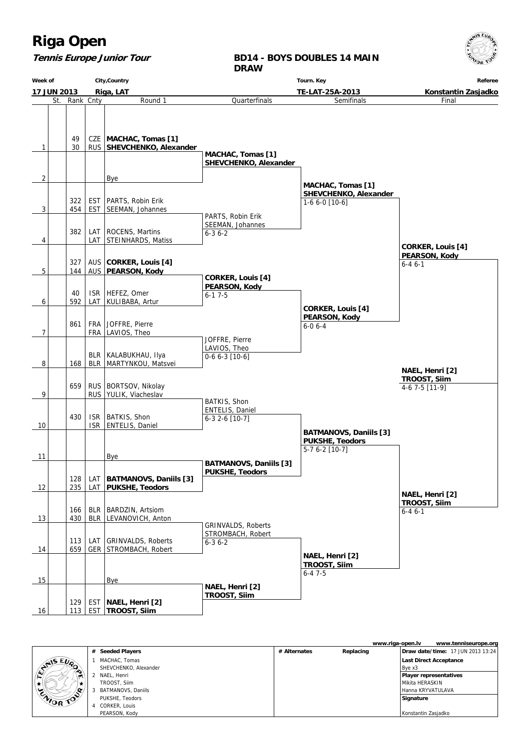$15 EU$ 

### **Tennis Europe Junior Tour**

**BD14 - BOYS DOUBLES 14 MAIN DRAW**

| Week of | City, Country            |           |     |                                                 | Tourn. Key                                 | Referee                                  |                          |  |
|---------|--------------------------|-----------|-----|-------------------------------------------------|--------------------------------------------|------------------------------------------|--------------------------|--|
|         | 17 JUN 2013<br>Riga, LAT |           |     |                                                 |                                            | Konstantin Zasjadko                      |                          |  |
|         | St.                      | Rank Cnty |     | Round 1                                         | Quarterfinals                              | TE-LAT-25A-2013<br>Semifinals            | Final                    |  |
|         |                          |           |     |                                                 |                                            |                                          |                          |  |
|         |                          |           |     |                                                 |                                            |                                          |                          |  |
|         |                          |           |     |                                                 |                                            |                                          |                          |  |
|         |                          | 49        |     | CZE   MACHAC, Tomas [1]                         |                                            |                                          |                          |  |
| 1       |                          | 30        |     | RUS   SHEVCHENKO, Alexander                     |                                            |                                          |                          |  |
|         |                          |           |     |                                                 | MACHAC, Tomas [1]<br>SHEVCHENKO, Alexander |                                          |                          |  |
|         |                          |           |     |                                                 |                                            |                                          |                          |  |
| 2       |                          |           |     | Bye                                             |                                            |                                          |                          |  |
|         |                          |           |     |                                                 |                                            | MACHAC, Tomas [1]                        |                          |  |
|         |                          | 322       |     | EST   PARTS, Robin Erik                         |                                            | SHEVCHENKO, Alexander                    |                          |  |
| 3       |                          | 454       |     | EST   SEEMAN, Johannes                          |                                            | $1-66-0$ [10-6]                          |                          |  |
|         |                          |           |     |                                                 | PARTS, Robin Erik                          |                                          |                          |  |
|         |                          |           |     |                                                 | SEEMAN, Johannes                           |                                          |                          |  |
|         |                          | 382       |     | LAT   ROCENS, Martins<br>LAT STEINHARDS, Matiss | $6 - 36 - 2$                               |                                          |                          |  |
| 4       |                          |           |     |                                                 |                                            |                                          | <b>CORKER, Louis [4]</b> |  |
|         |                          |           |     |                                                 |                                            |                                          | PEARSON, Kody            |  |
|         |                          | 327       |     | AUS CORKER, Louis [4]                           |                                            |                                          | $6 - 46 - 1$             |  |
| 5       |                          | 144       |     | AUS   PEARSON, Kody                             | <b>CORKER, Louis [4]</b>                   |                                          |                          |  |
|         |                          |           |     |                                                 | PEARSON, Kody                              |                                          |                          |  |
|         |                          | 40        |     | ISR   HEFEZ, Omer                               | $6-17-5$                                   |                                          |                          |  |
| 6       |                          | 592       |     | LAT   KULIBABA, Artur                           |                                            |                                          |                          |  |
|         |                          |           |     |                                                 |                                            | <b>CORKER, Louis [4]</b>                 |                          |  |
|         |                          | 861       |     | FRA   JOFFRE, Pierre                            |                                            | PEARSON, Kody<br>$6 - 06 - 4$            |                          |  |
| 7       |                          |           |     | FRA   LAVIOS, Theo                              |                                            |                                          |                          |  |
|         |                          |           |     |                                                 | JOFFRE, Pierre                             |                                          |                          |  |
|         |                          |           |     |                                                 | LAVIOS, Theo                               |                                          |                          |  |
| 8       |                          |           |     | BLR   KALABUKHAU, Ilya                          | $0-66-3$ [10-6]                            |                                          |                          |  |
|         |                          | 168       |     | BLR   MARTYNKOU, Matsvei                        |                                            |                                          | NAEL, Henri [2]          |  |
|         |                          |           |     |                                                 |                                            |                                          | TROOST, Siim             |  |
|         |                          | 659       |     | RUS   BORTSOV, Nikolay                          |                                            |                                          | 4-6 7-5 [11-9]           |  |
| 9       |                          |           |     | RUS   YULIK, Viacheslav                         | BATKIS, Shon                               |                                          |                          |  |
|         |                          |           |     |                                                 | ENTELIS, Daniel                            |                                          |                          |  |
|         |                          | 430       |     | ISR   BATKIS, Shon                              | 6-3 2-6 [10-7]                             |                                          |                          |  |
| 10      |                          |           |     | ISR   ENTELIS, Daniel                           |                                            |                                          |                          |  |
|         |                          |           |     |                                                 |                                            | <b>BATMANOVS, Daniils [3]</b>            |                          |  |
|         |                          |           |     |                                                 |                                            | <b>PUKSHE, Teodors</b><br>5-7 6-2 [10-7] |                          |  |
| 11      |                          |           |     | Bye                                             |                                            |                                          |                          |  |
|         |                          |           |     |                                                 | <b>BATMANOVS, Daniils [3]</b>              |                                          |                          |  |
|         |                          | 128       |     | LAT   BATMANOVS, Daniils [3]                    | <b>PUKSHE, Teodors</b>                     |                                          |                          |  |
| 12      |                          | 235       |     | LAT   PUKSHE, Teodors                           |                                            |                                          |                          |  |
|         |                          |           |     |                                                 |                                            |                                          | NAEL, Henri [2]          |  |
|         |                          |           |     |                                                 |                                            |                                          | TROOST, Siim             |  |
|         |                          | 166       | BLR | <b>BARDZIN, Artsiom</b>                         |                                            |                                          | $6 - 46 - 1$             |  |
| 13      |                          | 430       |     | BLR LEVANOVICH, Anton                           | <b>GRINVALDS, Roberts</b>                  |                                          |                          |  |
|         |                          |           |     |                                                 | STROMBACH, Robert                          |                                          |                          |  |
|         |                          | 113       | LAT | <b>GRINVALDS, Roberts</b>                       | $6 - 36 - 2$                               |                                          |                          |  |
| 14      |                          | 659       |     | GER STROMBACH, Robert                           |                                            |                                          |                          |  |
|         |                          |           |     |                                                 |                                            | NAEL, Henri [2]<br>TROOST, Siim          |                          |  |
|         |                          |           |     |                                                 |                                            | $6 - 47 - 5$                             |                          |  |
| 15      |                          |           |     | Bye                                             |                                            |                                          |                          |  |
|         |                          |           |     |                                                 | NAEL, Henri [2]                            |                                          |                          |  |
|         |                          | 129       |     | EST   NAEL, Henri [2]                           | TROOST, Siim                               |                                          |                          |  |
| 16      |                          | 113       |     | EST TROOST, Silm                                |                                            |                                          |                          |  |

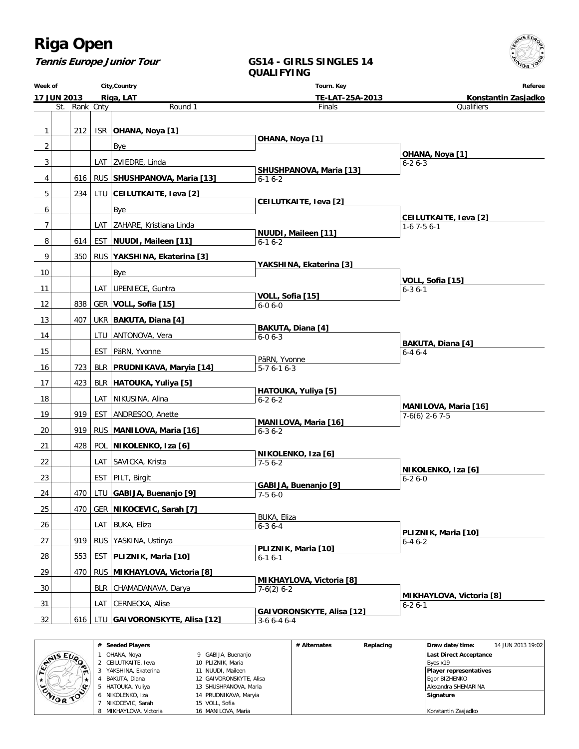**Tennis Europe Junior Tour**

#### **GS14 - GIRLS SINGLES 14 QUALIFYING**

**Week of 17 JUN 2013 City,Country Riga, LAT Tourn. Key TE-LAT-25A-2013 Referee Konstantin Zasjadko** St. Rank Cnty **Round 1** 1 212 ISR **OHANA, Noya [1]**  $2$  | | | Bye 3 | | | | LAT | ZVIEDRE, Linda 4 616 RUS **SHUSHPANOVA, Maria [13]** 5 234 LTU **CEILUTKAITE, Ieva [2]** 6 | | | | | Bye 7 | | | | LAT | ZAHARE, Kristiana Linda 8 614 EST **NUUDI, Maileen [11]** 9 350 RUS **YAKSHINA, Ekaterina [3]**  $10$   $\vert$   $\vert$   $\vert$   $\vert$  Bye 11 | LAT UPENIECE, Guntra 12 838 GER **VOLL, Sofia [15]** 13 407 UKR **BAKUTA, Diana [4]** 14 | LTU ANTONOVA, Vera 15 | EST PäRN, Yvonne 16 723 BLR **PRUDNIKAVA, Maryia [14]** 17 423 BLR **HATOUKA, Yuliya [5]** 18 | LAT NIKUSINA, Alina 19 | 919 EST ANDRESOO, Anette 20 919 RUS **MANILOVA, Maria [16]** 21 428 POL **NIKOLENKO, Iza [6]** 22 | LAT SAVICKA, Krista 23 | EST PILT, Birgit 24 470 LTU **GABIJA, Buenanjo [9]** 25 470 GER **NIKOCEVIC, Sarah [7]** 26 | LAT BUKA, Eliza 27 | 919 RUS YASKINA, Ustinya 28 553 EST **PLIZNIK, Maria [10]** 29 470 RUS **MIKHAYLOVA, Victoria [8]** 30 | BLR CHAMADANAVA, Darya 31 | LAT CERNECKA, Alise 32 616 LTU **GAIVORONSKYTE, Alisa [12]** Finals  **OHANA, Noya [1] SHUSHPANOVA, Maria [13]** 6-1 6-2  **CEILUTKAITE, Ieva [2] NUUDI, Maileen [11]** 6-1 6-2  **YAKSHINA, Ekaterina [3] VOLL, Sofia [15]** 6-0 6-0  **BAKUTA, Diana [4]** 6-0 6-3 PäRN, Yvonne 5-7 6-1 6-3  **HATOUKA, Yuliya [5]**  $6 - 26 - 2$  **MANILOVA, Maria [16]** 6-3 6-2  **NIKOLENKO, Iza [6]** 7-5 6-2  **GABIJA, Buenanjo [9]**  $7 - 56 - 0$  BUKA, Eliza 6-3 6-4  **PLIZNIK, Maria [10]** 6-1 6-1  **MIKHAYLOVA, Victoria [8]** 7-6(2) 6-2  **GAIVORONSKYTE, Alisa [12]**  $3-6, 6-4, 6-4$ **Qualifiers OHANA, Noya [1]** 6-2 6-3  **CEILUTKAITE, Ieva [2]** 1-6 7-5 6-1  **VOLL, Sofia [15]** 6-3 6-1  **BAKUTA, Diana [4]** 6-4 6-4  **MANILOVA, Maria [16]** 7-6(6) 2-6 7-5  **NIKOLENKO, Iza [6]** 6-2 6-0  **PLIZNIK, Maria [10]** 6-4 6-2  **MIKHAYLOVA, Victoria [8]** 6-2 6-1